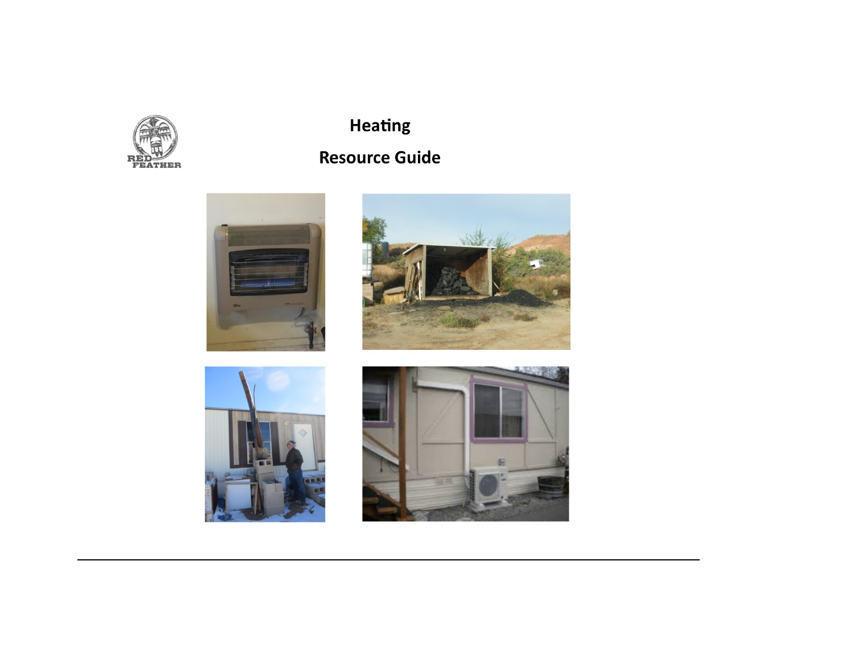

# **Heating**

## **Resource Guide**







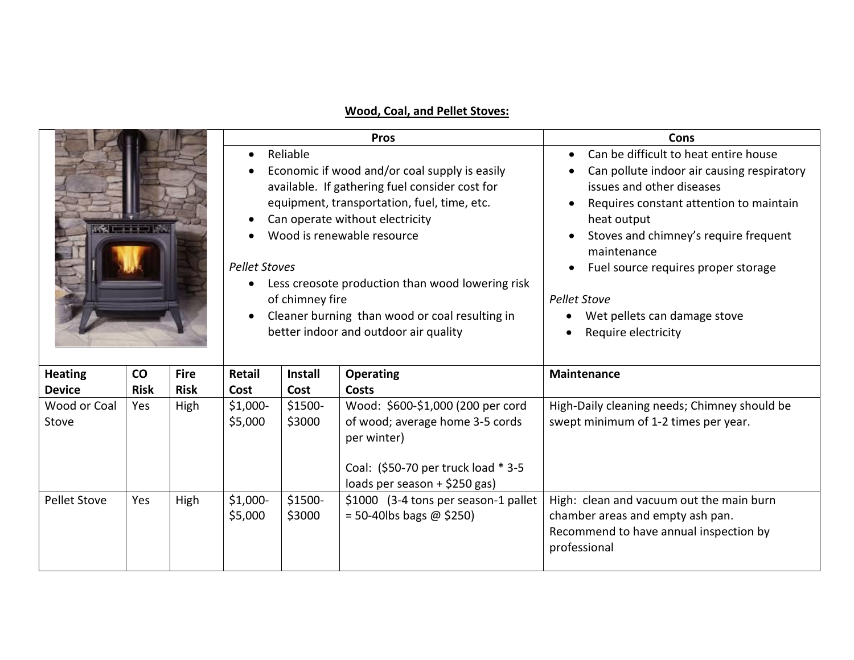## **Wood, Coal, and Pellet Stoves:**

|                       |             |             |                                                |                                    | <b>Pros</b>                                                                                                                                                                                                                                                                                                                                                    | Cons                                                                                                                                                                                                                                                                                                                                                                                           |  |  |
|-----------------------|-------------|-------------|------------------------------------------------|------------------------------------|----------------------------------------------------------------------------------------------------------------------------------------------------------------------------------------------------------------------------------------------------------------------------------------------------------------------------------------------------------------|------------------------------------------------------------------------------------------------------------------------------------------------------------------------------------------------------------------------------------------------------------------------------------------------------------------------------------------------------------------------------------------------|--|--|
| <b>CERTIFICATE</b>    |             |             | $\bullet$<br>$\bullet$<br><b>Pellet Stoves</b> | Reliable<br>of chimney fire        | Economic if wood and/or coal supply is easily<br>available. If gathering fuel consider cost for<br>equipment, transportation, fuel, time, etc.<br>Can operate without electricity<br>Wood is renewable resource<br>Less creosote production than wood lowering risk<br>Cleaner burning than wood or coal resulting in<br>better indoor and outdoor air quality | Can be difficult to heat entire house<br>$\bullet$<br>Can pollute indoor air causing respiratory<br>issues and other diseases<br>Requires constant attention to maintain<br>heat output<br>Stoves and chimney's require frequent<br>maintenance<br>Fuel source requires proper storage<br><b>Pellet Stove</b><br>Wet pellets can damage stove<br>$\bullet$<br>Require electricity<br>$\bullet$ |  |  |
| <b>Heating</b>        | co          | <b>Fire</b> | Retail                                         | <b>Install</b><br><b>Operating</b> |                                                                                                                                                                                                                                                                                                                                                                | <b>Maintenance</b>                                                                                                                                                                                                                                                                                                                                                                             |  |  |
| <b>Device</b>         | <b>Risk</b> | <b>Risk</b> | Cost                                           | Cost                               | Costs                                                                                                                                                                                                                                                                                                                                                          |                                                                                                                                                                                                                                                                                                                                                                                                |  |  |
| Wood or Coal<br>Stove | Yes         | High        | $$1,000-$<br>\$5,000                           | \$1500-<br>\$3000                  | Wood: \$600-\$1,000 (200 per cord<br>of wood; average home 3-5 cords<br>per winter)<br>Coal: (\$50-70 per truck load * 3-5<br>loads per season + \$250 gas)                                                                                                                                                                                                    | High-Daily cleaning needs; Chimney should be<br>swept minimum of 1-2 times per year.                                                                                                                                                                                                                                                                                                           |  |  |
| <b>Pellet Stove</b>   | Yes         | High        | $$1,000-$<br>\$5,000                           | \$1500-<br>\$3000                  | \$1000 (3-4 tons per season-1 pallet<br>$= 50 - 40$ lbs bags @ \$250)                                                                                                                                                                                                                                                                                          | High: clean and vacuum out the main burn<br>chamber areas and empty ash pan.<br>Recommend to have annual inspection by<br>professional                                                                                                                                                                                                                                                         |  |  |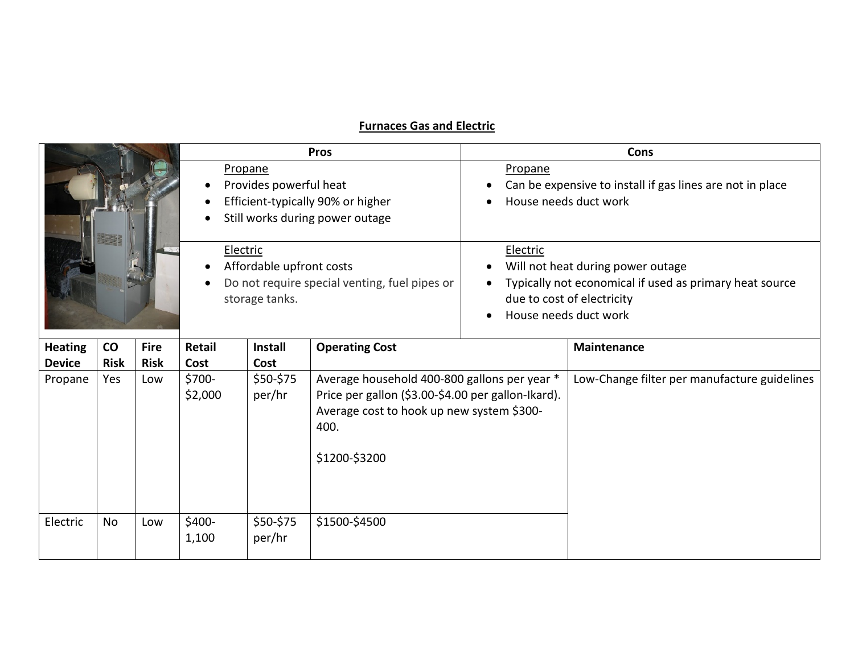## **Furnaces Gas and Electric**

|                          |                    |                    |                           |                                            | <b>Pros</b>                                                                                                                                                              | Cons                                                                                                                                                            |                                              |  |  |
|--------------------------|--------------------|--------------------|---------------------------|--------------------------------------------|--------------------------------------------------------------------------------------------------------------------------------------------------------------------------|-----------------------------------------------------------------------------------------------------------------------------------------------------------------|----------------------------------------------|--|--|
|                          |                    |                    |                           | Propane<br>Provides powerful heat          | Efficient-typically 90% or higher<br>Still works during power outage                                                                                                     | Propane<br>Can be expensive to install if gas lines are not in place<br>House needs duct work                                                                   |                                              |  |  |
|                          |                    |                    | Electric                  | Affordable upfront costs<br>storage tanks. | Do not require special venting, fuel pipes or                                                                                                                            | Electric<br>Will not heat during power outage<br>Typically not economical if used as primary heat source<br>due to cost of electricity<br>House needs duct work |                                              |  |  |
| <b>Heating</b>           | $\mathsf{co}\,$    | <b>Fire</b>        | <b>Retail</b>             | <b>Install</b>                             | <b>Operating Cost</b>                                                                                                                                                    |                                                                                                                                                                 | <b>Maintenance</b>                           |  |  |
| <b>Device</b><br>Propane | <b>Risk</b><br>Yes | <b>Risk</b><br>Low | Cost<br>\$700-<br>\$2,000 | Cost<br>\$50-\$75<br>per/hr                | Average household 400-800 gallons per year *<br>Price per gallon (\$3.00-\$4.00 per gallon-Ikard).<br>Average cost to hook up new system \$300-<br>400.<br>\$1200-\$3200 |                                                                                                                                                                 | Low-Change filter per manufacture guidelines |  |  |
| Electric                 | No                 | Low                | \$400-<br>1,100           | \$50-\$75<br>per/hr                        | \$1500-\$4500                                                                                                                                                            |                                                                                                                                                                 |                                              |  |  |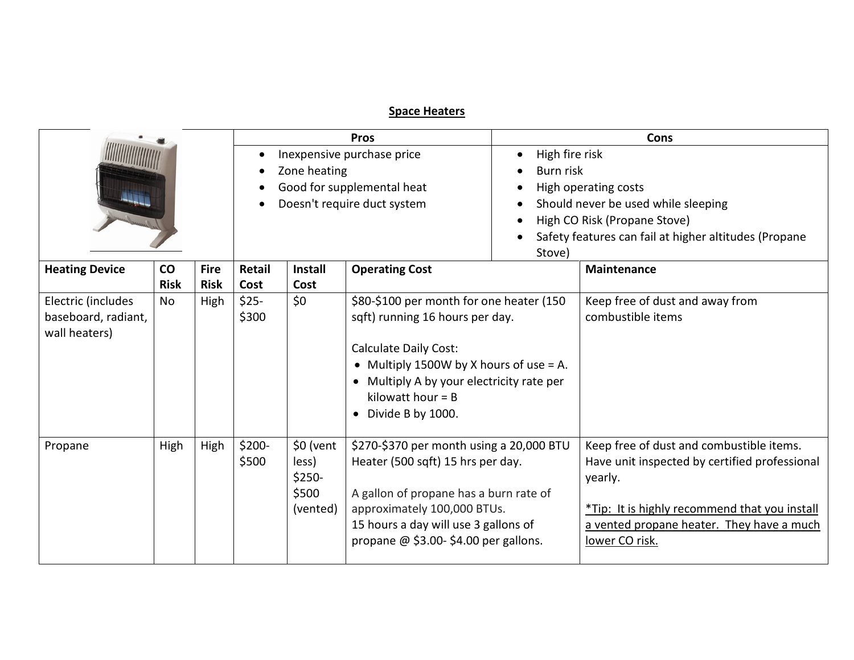## **Space Heaters**

|                                                   |             |             |        |                                  | <b>Pros</b>                                                                   |                                                       | Cons                                          |  |  |
|---------------------------------------------------|-------------|-------------|--------|----------------------------------|-------------------------------------------------------------------------------|-------------------------------------------------------|-----------------------------------------------|--|--|
|                                                   |             |             |        | Inexpensive purchase price       | High fire risk                                                                |                                                       |                                               |  |  |
|                                                   |             |             |        | Zone heating                     |                                                                               | Burn risk                                             |                                               |  |  |
|                                                   |             |             |        |                                  | Good for supplemental heat                                                    | High operating costs                                  |                                               |  |  |
|                                                   |             |             |        |                                  | Doesn't require duct system                                                   | Should never be used while sleeping                   |                                               |  |  |
|                                                   |             |             |        |                                  |                                                                               |                                                       | High CO Risk (Propane Stove)                  |  |  |
|                                                   |             |             |        |                                  |                                                                               | Safety features can fail at higher altitudes (Propane |                                               |  |  |
|                                                   |             |             |        |                                  |                                                                               | Stove)                                                |                                               |  |  |
| <b>Heating Device</b><br><b>CO</b><br><b>Fire</b> |             |             | Retail | <b>Operating Cost</b><br>Install |                                                                               |                                                       | <b>Maintenance</b>                            |  |  |
|                                                   | <b>Risk</b> | <b>Risk</b> | Cost   | Cost                             |                                                                               |                                                       |                                               |  |  |
| Electric (includes                                | <b>No</b>   | High        | $$25-$ | \$0                              | \$80-\$100 per month for one heater (150                                      |                                                       | Keep free of dust and away from               |  |  |
| baseboard, radiant,                               |             |             | \$300  |                                  | sqft) running 16 hours per day.                                               |                                                       | combustible items                             |  |  |
| wall heaters)                                     |             |             |        |                                  |                                                                               |                                                       |                                               |  |  |
|                                                   |             |             |        |                                  | <b>Calculate Daily Cost:</b>                                                  |                                                       |                                               |  |  |
|                                                   |             |             |        |                                  | • Multiply 1500W by X hours of use $= A$ .                                    |                                                       |                                               |  |  |
|                                                   |             |             |        |                                  | • Multiply A by your electricity rate per                                     |                                                       |                                               |  |  |
|                                                   |             |             |        |                                  | kilowatt hour $=$ B                                                           |                                                       |                                               |  |  |
|                                                   |             |             |        |                                  | • Divide B by 1000.                                                           |                                                       |                                               |  |  |
| Propane                                           | High        | High        | \$200- | \$0 (vent                        |                                                                               |                                                       | Keep free of dust and combustible items.      |  |  |
|                                                   |             |             | \$500  | less)                            | \$270-\$370 per month using a 20,000 BTU<br>Heater (500 sqft) 15 hrs per day. |                                                       | Have unit inspected by certified professional |  |  |
|                                                   |             |             |        | \$250-                           |                                                                               |                                                       | yearly.                                       |  |  |
|                                                   |             |             |        | \$500                            | A gallon of propane has a burn rate of                                        |                                                       |                                               |  |  |
|                                                   |             |             |        | (vented)                         | approximately 100,000 BTUs.                                                   |                                                       | *Tip: It is highly recommend that you install |  |  |
|                                                   |             |             |        |                                  | 15 hours a day will use 3 gallons of                                          | a vented propane heater. They have a much             |                                               |  |  |
|                                                   |             |             |        |                                  | propane $@$ \$3.00-\$4.00 per gallons.                                        |                                                       | lower CO risk.                                |  |  |
|                                                   |             |             |        |                                  |                                                                               |                                                       |                                               |  |  |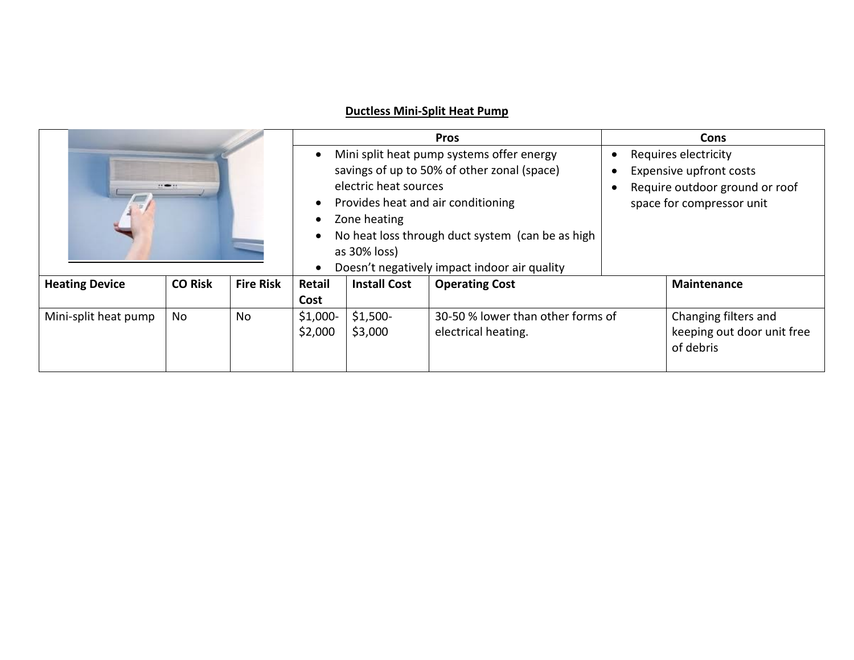## **Ductless Mini-Split Heat Pump**

|                                                             |  |           |                       | <b>Pros</b>                                 | <b>Cons</b>                                      |                           |                            |
|-------------------------------------------------------------|--|-----------|-----------------------|---------------------------------------------|--------------------------------------------------|---------------------------|----------------------------|
|                                                             |  | $\bullet$ |                       | Mini split heat pump systems offer energy   | Requires electricity<br>$\bullet$                |                           |                            |
|                                                             |  |           |                       | savings of up to 50% of other zonal (space) | Expensive upfront costs                          |                           |                            |
| 2 1                                                         |  |           | electric heat sources |                                             | Require outdoor ground or roof                   |                           |                            |
|                                                             |  |           | $\bullet$             |                                             | Provides heat and air conditioning               | space for compressor unit |                            |
|                                                             |  |           |                       | Zone heating                                |                                                  |                           |                            |
|                                                             |  |           | $\bullet$             |                                             | No heat loss through duct system (can be as high |                           |                            |
|                                                             |  |           |                       | as 30% loss)                                |                                                  |                           |                            |
|                                                             |  |           | $\bullet$             |                                             | Doesn't negatively impact indoor air quality     |                           |                            |
| <b>CO Risk</b><br><b>Fire Risk</b><br><b>Heating Device</b> |  | Retail    | <b>Install Cost</b>   | <b>Operating Cost</b>                       |                                                  | <b>Maintenance</b>        |                            |
|                                                             |  |           | Cost                  |                                             |                                                  |                           |                            |
| Mini-split heat pump<br>No<br>No.                           |  | $$1,000-$ | $$1,500-$             | 30-50 % lower than other forms of           | Changing filters and                             |                           |                            |
|                                                             |  |           | \$2,000               | \$3,000                                     | electrical heating.                              |                           | keeping out door unit free |
|                                                             |  |           |                       |                                             |                                                  |                           | of debris                  |
|                                                             |  |           |                       |                                             |                                                  |                           |                            |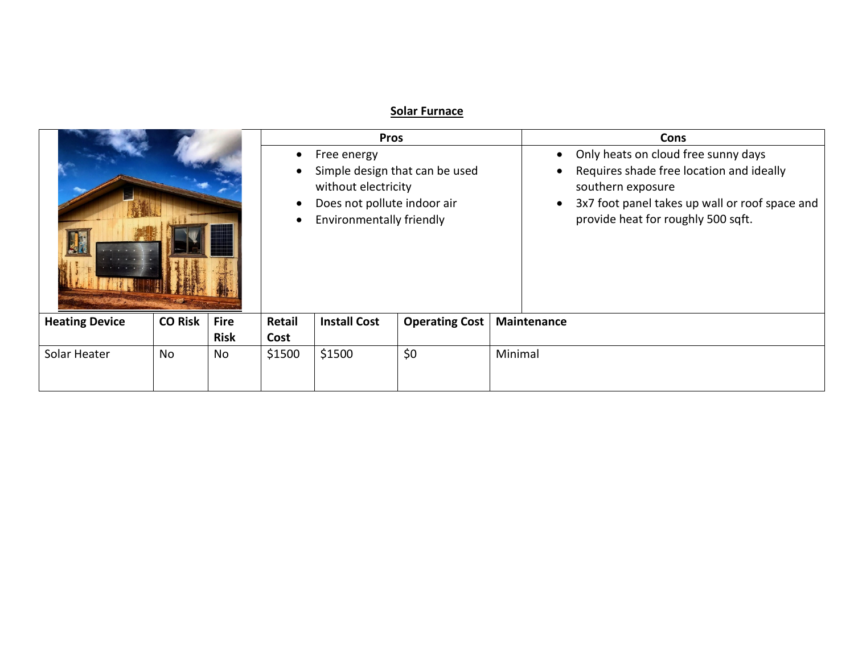## **Solar Furnace**

|                          |                            |                                                                                                                                                                                     |                     |                       |             | <b>Cons</b>                                                                                                                                                                                               |  |  |
|--------------------------|----------------------------|-------------------------------------------------------------------------------------------------------------------------------------------------------------------------------------|---------------------|-----------------------|-------------|-----------------------------------------------------------------------------------------------------------------------------------------------------------------------------------------------------------|--|--|
|                          |                            | Free energy<br>$\bullet$<br>Simple design that can be used<br>$\bullet$<br>without electricity<br>Does not pollute indoor air<br>$\bullet$<br>Environmentally friendly<br>$\bullet$ |                     |                       |             | Only heats on cloud free sunny days<br>$\bullet$<br>Requires shade free location and ideally<br>southern exposure<br>3x7 foot panel takes up wall or roof space and<br>provide heat for roughly 500 sqft. |  |  |
| <b>CO Risk</b>           | <b>Fire</b><br><b>Risk</b> | Retail<br>Cost                                                                                                                                                                      | <b>Install Cost</b> | <b>Operating Cost</b> |             | Maintenance                                                                                                                                                                                               |  |  |
| No<br>Solar Heater<br>No |                            |                                                                                                                                                                                     | \$1500              | \$0                   | Minimal     |                                                                                                                                                                                                           |  |  |
|                          |                            |                                                                                                                                                                                     | \$1500              |                       | <b>Pros</b> |                                                                                                                                                                                                           |  |  |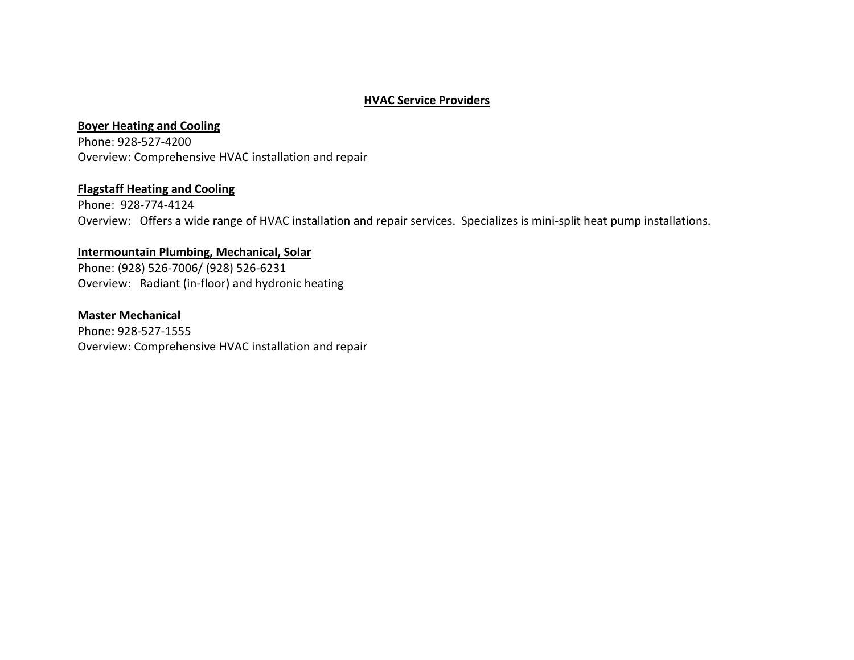#### **HVAC Service Providers**

#### **Boyer Heating and Cooling**

Phone: 928-527-4200 Overview: Comprehensive HVAC installation and repair

#### **Flagstaff Heating and Cooling**

Phone: 928-774-4124 Overview: Offers a wide range of HVAC installation and repair services. Specializes is mini-split heat pump installations.

#### **Intermountain Plumbing, Mechanical, Solar**

Phone: (928) 526-7006/ (928) 526-6231 Overview: Radiant (in-floor) and hydronic heating

## **Master Mechanical**  Phone: 928-527-1555 Overview: Comprehensive HVAC installation and repair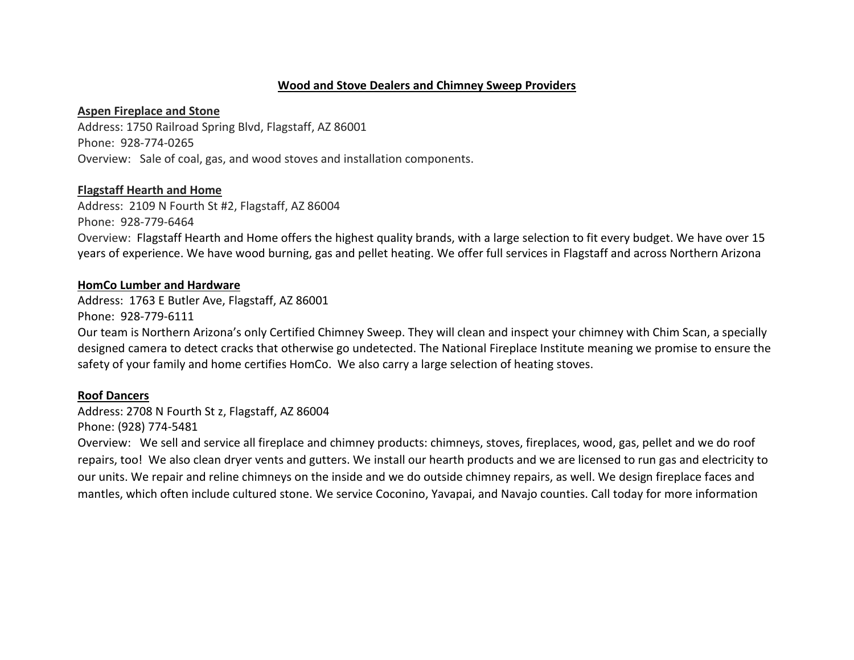#### **Wood and Stove Dealers and Chimney Sweep Providers**

#### **Aspen Fireplace and Stone**

Address: 1750 Railroad Spring Blvd, Flagstaff, AZ 86001 Phone: 928-774-0265 Overview: Sale of coal, gas, and wood stoves and installation components.

#### **Flagstaff Hearth and Home**

Address: 2109 N Fourth St #2, Flagstaff, AZ 86004 Phone: 928-779-6464 Overview: Flagstaff Hearth and Home offers the highest quality brands, with a large selection to fit every budget. We have over 15 years of experience. We have wood burning, gas and pellet heating. We offer full services in Flagstaff and across Northern Arizona

#### **HomCo Lumber and Hardware**

Address: 1763 E Butler Ave, Flagstaff, AZ 86001

Phone: 928-779-6111

Our team is Northern Arizona's only Certified Chimney Sweep. They will clean and inspect your chimney with Chim Scan, a specially designed camera to detect cracks that otherwise go undetected. The National Fireplace Institute meaning we promise to ensure the safety of your family and home certifies HomCo. We also carry a large selection of heating stoves.

#### **Roof Dancers**

Address: 2708 N Fourth St z, Flagstaff, AZ 86004 Phone: (928) 774-5481

Overview: We sell and service all fireplace and chimney products: chimneys, stoves, fireplaces, wood, gas, pellet and we do roof repairs, too! We also clean dryer vents and gutters. We install our hearth products and we are licensed to run gas and electricity to our units. We repair and reline chimneys on the inside and we do outside chimney repairs, as well. We design fireplace faces and mantles, which often include cultured stone. We service Coconino, Yavapai, and Navajo counties. Call today for more information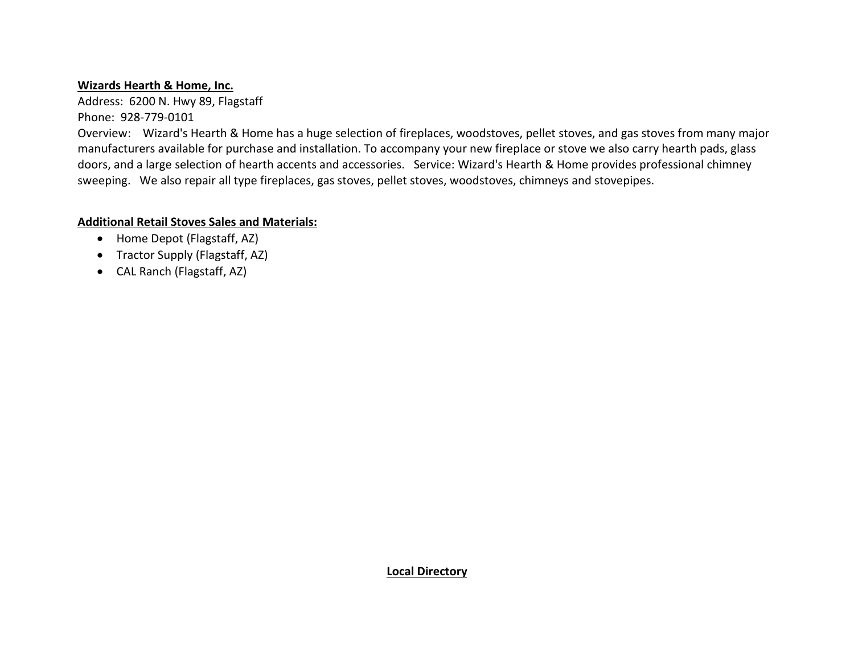#### **Wizards Hearth & Home, Inc.**

Address: 6200 N. Hwy 89, Flagstaff Phone: 928-779-0101

Overview: Wizard's Hearth & Home has a huge selection of fireplaces, woodstoves, pellet stoves, and gas stoves from many major manufacturers available for purchase and installation. To accompany your new fireplace or stove we also carry hearth pads, glass doors, and a large selection of hearth accents and accessories. Service: Wizard's Hearth & Home provides professional chimney sweeping. We also repair all type fireplaces, gas stoves, pellet stoves, woodstoves, chimneys and stovepipes.

## **Additional Retail Stoves Sales and Materials:**

- Home Depot (Flagstaff, AZ)
- Tractor Supply (Flagstaff, AZ)
- CAL Ranch (Flagstaff, AZ)

#### **Local Directory**